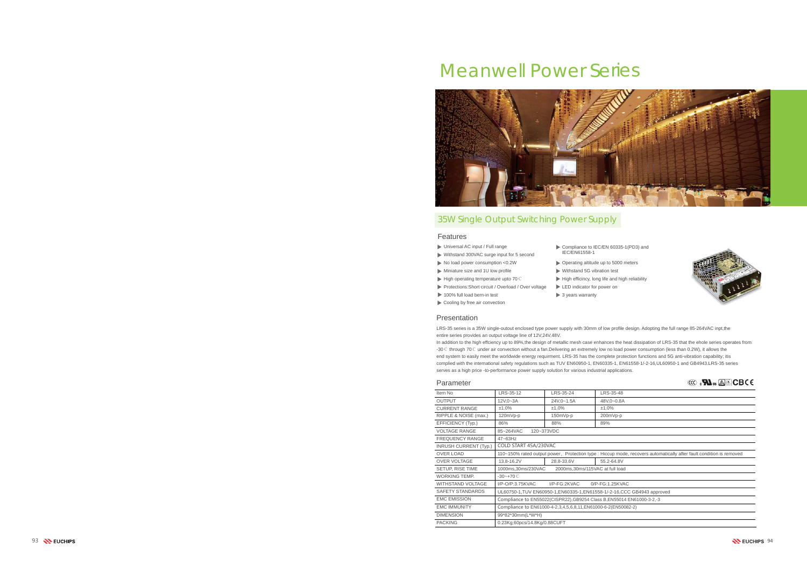#### Parameter

## Features

| Item No                      | LRS-35-12                                                                        | LRS-35-24  | LRS-35-48  |  |  |  |
|------------------------------|----------------------------------------------------------------------------------|------------|------------|--|--|--|
| <b>OUTPUT</b>                | 12V,0~3A                                                                         | 24V,0~1.5A | 48V,0~0.8A |  |  |  |
| <b>CURRENT RANGE</b>         | ±1.0%                                                                            | ±1.0%      | ±1.0%      |  |  |  |
| RIPPLE & NOISE (max.)        | 120mVp-p                                                                         | 150mVp-p   | 200mVp-p   |  |  |  |
| EFFICIENCY (Typ.)            | 86%                                                                              | 88%        | 89%        |  |  |  |
| <b>VOLTAGE RANGE</b>         | 85~264VAC                                                                        | 120~373VDC |            |  |  |  |
| <b>FREQUENCY RANGE</b>       | 47~63Hz                                                                          |            |            |  |  |  |
| <b>INRUSH CURRENT (Typ.)</b> | COLD START 45A/230VAC                                                            |            |            |  |  |  |
| <b>OVER LOAD</b>             | 110~150% rated output power, Protection type : Hiccup mode, recovers automatical |            |            |  |  |  |
| <b>OVER VOLTAGE</b>          | 13.8-16.2V                                                                       | 28.8-33.6V | 55.2-64.8V |  |  |  |
| SETUP, RISE TIME             | 1000ms,30ms/230VAC<br>2000ms, 30ms/115VAC at full load                           |            |            |  |  |  |
| WORKING TEMP.                | $-30 - +70$ C                                                                    |            |            |  |  |  |
| <b>WITHSTAND VOLTAGE</b>     | I/P-O/P:3.75KVAC<br>I/P-FG:2KVAC<br>0/P-FG:1.25KVAC                              |            |            |  |  |  |
| <b>SAFETY STANDARDS</b>      | UL60750-1, TUV EN60950-1, EN60335-1, EN61558-1/-2-16, CCC GB4943 approved        |            |            |  |  |  |
| <b>EMC EMISSION</b>          | Compliance to EN55022(CISPR22), GB9254 Class B, EN55014 EN61000-3-2,-3           |            |            |  |  |  |
| <b>EMC IMMUNITY</b>          | Compliance to EN61000-4-2,3,4,5,6,8,11, EN61000-6-2(EN50082-2)                   |            |            |  |  |  |
| <b>DIMENSION</b>             | 99*82*30mm(L*W*H)                                                                |            |            |  |  |  |
| <b>PACKING</b>               | 0.23Kg;60pcs/14.8Kg/0.88CUFT                                                     |            |            |  |  |  |
|                              |                                                                                  |            |            |  |  |  |

- Universal AC input / Full range
- Withstand 300VAC surge input for 5 second
- No load power consumption <0.2W
- Miniature size and 1U low profile
- ► High operating temperature upto 70 ℃
- Protections: Short circuit / Overload / Over voltage
	- $\blacktriangleright$  3 years warranty
- Cooling by free air convection 100% full load bern-in test

## 35W Single Output Switching Power Supply

| <b>EXA</b> <sub>us</sub> $\mathbf{A}$ <b>CBCE</b> |  |  |
|---------------------------------------------------|--|--|
|                                                   |  |  |

| LRS-35-12                                                              | LRS-35-24                | LRS-35-48                                                                                                          |  |  |  |
|------------------------------------------------------------------------|--------------------------|--------------------------------------------------------------------------------------------------------------------|--|--|--|
| 12V,0~3A                                                               | 24V,0~1.5A               | 48V,0~0.8A                                                                                                         |  |  |  |
| ±1.0%                                                                  | ±1.0%                    | ±1.0%                                                                                                              |  |  |  |
| $120mVp-p$                                                             | 150mVp-p                 | 200mVp-p                                                                                                           |  |  |  |
| 86%                                                                    | 88%                      | 89%                                                                                                                |  |  |  |
| 85~264VAC                                                              | 120~373VDC               |                                                                                                                    |  |  |  |
| 47~63Hz                                                                |                          |                                                                                                                    |  |  |  |
| COLD START 45A/230VAC                                                  |                          |                                                                                                                    |  |  |  |
|                                                                        |                          | 110~150% rated output power, Protection type: Hiccup mode, recovers automatically after fault condition is removed |  |  |  |
| 13.8-16.2V                                                             | 28.8-33.6V<br>55.2-64.8V |                                                                                                                    |  |  |  |
| 1000ms,30ms/230VAC<br>2000ms, 30ms/115VAC at full load                 |                          |                                                                                                                    |  |  |  |
| $-30-+70$ C                                                            |                          |                                                                                                                    |  |  |  |
| I/P-O/P:3.75KVAC<br>I/P-FG:2KVAC<br>0/P-FG:1.25KVAC                    |                          |                                                                                                                    |  |  |  |
| UL60750-1,TUV EN60950-1,EN60335-1,EN61558-1/-2-16,CCC GB4943 approved  |                          |                                                                                                                    |  |  |  |
| Compliance to EN55022(CISPR22), GB9254 Class B, EN55014 EN61000-3-2,-3 |                          |                                                                                                                    |  |  |  |
| Compliance to EN61000-4-2,3,4,5,6,8,11,EN61000-6-2(EN50082-2)          |                          |                                                                                                                    |  |  |  |



# Meanwell Power Series



Withstand 5G vibration test

 $\blacktriangleright$  High efficincy, long life and high reliability

LED indicator for power on



Compliance to IEC/EN 60335-1(PD3) and IEC/EN61558-1

▶ Operating altitude up to 5000 meters

LRS-35 series is a 35W single-outout enclosed type power supply with 30mm of low profile design. Adopting the full range 85-264VAC inpt,the entire series provides an output voltage line of 12V,24V,48V.

In addition to the high effciency up to 89%,the design of metallic mesh case enhances the heat dissipation of LRS-35 that the ehole series operates from -30℃ through 70℃ under air convection without a fan.Delivering an extremely low no load power consumption (less than 0.2W), it allows the end system to easily meet the worldwide energy requirment. LRS-35 has the complete protection functions and 5G anti-vibration capability; itis complied with the international safety regulations such as TUV EN60950-1, EN60335-1, EN61558-1/-2-16,UL60950-1 and GB4943.LRS-35 series serves as a high price -to-performance power supply solution for various industrial applications.

#### Presentation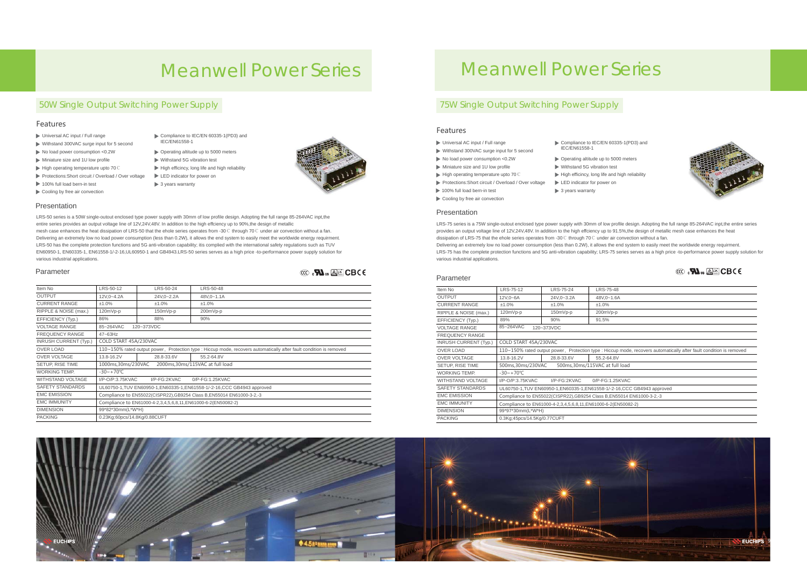#### Parameter

# Meanwell Power Series Meanwell Power Series

## 50W Single Output Switching Power Supply 75W Single Output Switching Power Supply

- Universal AC input / Full range
- Withstand 300VAC surge input for 5 second
- No load power consumption <0.2W
- Miniature size and 1U low profile
- High operating temperature upto 70℃
- Protections: Short circuit / Overload / Over voltage
- 100% full load bern-in test
- Cooling by free air convection

### **Presentation**

- Compliance to IEC/EN 60335-1(PD3) and
- IEC/EN61558-1
	- Operating altitude up to 5000 meters
	- Withstand 5G vibration test  $\blacktriangleright$  High efficincy, long life and high reliability
- LED indicator for power on
	- $\blacktriangleright$  3 years warranty



- Universal AC input / Full range
- Withstand 300VAC surge input for 5 second
- $\blacktriangleright$  No load power consumption <0.2W
- Miniature size and 1U low profile
- ► High operating temperature upto 70 ℃
- Protections: Short circuit / Overload / Over voltage
- $\blacktriangleright$  3 years warranty

| Item No                      | LRS-50-12                                                                                                           | LRS-50-24  | LRS-50-48  |                                                 | Item No                      | LRS-75-12                                            | LRS-75-24                                            | <b>LRS-75-4</b>          |
|------------------------------|---------------------------------------------------------------------------------------------------------------------|------------|------------|-------------------------------------------------|------------------------------|------------------------------------------------------|------------------------------------------------------|--------------------------|
| <b>OUTPUT</b>                | 12V.0~4.2A                                                                                                          | 24V.0~2.2A | 48V,0~1.1A |                                                 | <b>OUTPUT</b>                | 12V,0~6A                                             | 24V,0~3.2A                                           | $48V,0-1.6$              |
| <b>CURRENT RANGE</b>         | ±1.0%                                                                                                               | ±1.0%      | ±1.0%      |                                                 | <b>CURRENT RANGE</b>         | ±1.0%                                                | ±1.0%                                                | $±1.0\%$                 |
| RIPPLE & NOISE (max.)        | 120mVp-p                                                                                                            | 150mVp-p   | 200mVp-p   |                                                 | RIPPLE & NOISE (max.)        | 120mVp-p                                             | 150mVp-p                                             | 200mVp-                  |
| EFFICIENCY (Typ.)            | 86%                                                                                                                 | 88%        | 90%        |                                                 | EFFICIENCY (Typ.)            | 89%                                                  | 90%                                                  | 91.5%                    |
| <b>VOLTAGE RANGE</b>         | 85~264VAC                                                                                                           | 120~373VDC |            | 85~264VAC<br><b>VOLTAGE RANGE</b><br>120~373VDC |                              |                                                      |                                                      |                          |
| <b>FREQUENCY RANGE</b>       | $47 - 63$ Hz                                                                                                        |            |            |                                                 | <b>FREQUENCY RANGE</b>       |                                                      |                                                      |                          |
| <b>INRUSH CURRENT (Typ.)</b> | COLD START 45A/230VAC                                                                                               |            |            |                                                 | <b>INRUSH CURRENT (Typ.)</b> | COLD START 45A/230VAC                                |                                                      |                          |
| OVER LOAD                    | 110~150% rated output power, Protection type : Hiccup mode, recovers automatically after fault condition is removed |            |            |                                                 | OVER LOAD                    | 110~150% rated output power, Protection type : Hiccu |                                                      |                          |
| OVER VOLTAGE                 | 13.8-16.2V                                                                                                          | 28.8-33.6V | 55.2-64.8V |                                                 | OVER VOLTAGE                 | 13.8-16.2V                                           | 28.8-33.6V                                           | 55.2-64.8                |
| SETUP, RISE TIME             | 1000ms,30ms/230VAC<br>2000ms, 30ms/115VAC at full load                                                              |            |            |                                                 | SETUP, RISE TIME             | 500ms, 30ms/230VAC                                   |                                                      | 500ms, 30ms/115VAC at fu |
| <b>WORKING TEMP.</b>         | $-30 - +70^{\circ}$ C                                                                                               |            |            |                                                 | WORKING TEMP.                | $-30 - +70^{\circ}C$                                 |                                                      |                          |
| <b>WITHSTAND VOLTAGE</b>     | $I/P$ -O/P:3.75KVAC<br>I/P-FG:2KVAC<br>0/P-FG:1.25KVAC                                                              |            |            | <b>WITHSTAND VOLTAGE</b>                        | I/P-O/P:3.75KVAC             | I/P-FG:2KVAC                                         | $0/P-FG:1.2$                                         |                          |
| SAFETY STANDARDS             | UL60750-1, TUV EN60950-1, EN60335-1, EN61558-1/-2-16, CCC GB4943 approved                                           |            |            |                                                 | SAFETY STANDARDS             |                                                      | UL60750-1, TUV EN60950-1, EN60335-1, EN61558-1/-2-   |                          |
| <b>EMC EMISSION</b>          | Compliance to EN55022(CISPR22), GB9254 Class B, EN55014 EN61000-3-2,-3                                              |            |            |                                                 | <b>EMC EMISSION</b>          |                                                      | Compliance to EN55022(CISPR22), GB9254 Class B,EN    |                          |
| <b>EMC IMMUNITY</b>          | Compliance to EN61000-4-2,3,4,5,6,8,11, EN61000-6-2(EN50082-2)                                                      |            |            |                                                 | <b>EMC IMMUNITY</b>          |                                                      | Compliance to EN61000-4-2,3,4,5,6,8,11,EN61000-6-2(E |                          |
| <b>DIMENSION</b>             | 99*82*30mm(L*W*H)                                                                                                   |            |            |                                                 | <b>DIMENSION</b>             | 99*97*30mm(L*W*H)                                    |                                                      |                          |
| <b>PACKING</b>               | 0.23Kg;60pcs/14.8Kg/0.88CUFT                                                                                        |            |            |                                                 | <b>PACKING</b>               | 0.3Kg;45pcs/14.5Kg/0.77CUFT                          |                                                      |                          |



Bauar Sicherheit egel ge ma <sup>t</sup> gepruft od bewww.tuv.comwac <sup>g</sup> <sup>o</sup> <sup>s</sup> ID <sup>2000000000</sup>



iccup mode, recovers automatically after fault condition is removed t full load  $-2-16$ ,CCC GB4943 approved EN55014 EN61000-3-2,-3 -2(EN50082-2)



## Features

| Item No                      | LRS-75-12                                                  | LRS-75-24                                                  | LRS-75-48       |  |  |
|------------------------------|------------------------------------------------------------|------------------------------------------------------------|-----------------|--|--|
| <b>OUTPUT</b>                | 12V,0~6A                                                   | 24V,0~3.2A                                                 | 48V,0~1.6A      |  |  |
| <b>CURRENT RANGE</b>         | ±1.0%                                                      | ±1.0%                                                      | ±1.0%           |  |  |
| RIPPLE & NOISE (max.)        | 120mVp-p                                                   | 150mVp-p                                                   | 200mVp-p        |  |  |
| EFFICIENCY (Typ.)            | 89%                                                        | 90%                                                        | 91.5%           |  |  |
| <b>VOLTAGE RANGE</b>         | 85~264VAC                                                  | 120~373VDC                                                 |                 |  |  |
| <b>FREQUENCY RANGE</b>       |                                                            |                                                            |                 |  |  |
| <b>INRUSH CURRENT (Typ.)</b> | COLD START 45A/230VAC                                      |                                                            |                 |  |  |
| <b>OVER LOAD</b>             |                                                            | 110~150% rated output power, Protection type : Hiccup mode |                 |  |  |
| <b>OVER VOLTAGE</b>          | 13.8-16.2V                                                 | 28.8-33.6V                                                 | 55.2-64.8V      |  |  |
| SETUP, RISE TIME             | 500ms, 30ms/115VAC at full load<br>500ms, 30ms/230VAC      |                                                            |                 |  |  |
| <b>WORKING TEMP.</b>         | $-30 - +70^{\circ}C$                                       |                                                            |                 |  |  |
| <b>WITHSTAND VOLTAGE</b>     | I/P-O/P:3.75KVAC                                           | I/P-FG:2KVAC                                               | 0/P-FG:1.25KVAC |  |  |
| <b>SAFETY STANDARDS</b>      |                                                            | UL60750-1, TUV EN60950-1, EN60335-1, EN61558-1/-2-16, CC   |                 |  |  |
| <b>EMC EMISSION</b>          | Compliance to EN55022(CISPR22), GB9254 Class B, EN55014 I  |                                                            |                 |  |  |
| <b>EMC IMMUNITY</b>          | Compliance to EN61000-4-2,3,4,5,6,8,11, EN61000-6-2(EN5008 |                                                            |                 |  |  |
| <b>DIMENSION</b>             | 99*97*30mm(L*W*H)                                          |                                                            |                 |  |  |
| <b>PACKING</b>               | 0.3Kg:45pcs/14.5Kg/0.77CUFT                                |                                                            |                 |  |  |
|                              |                                                            |                                                            |                 |  |  |

Compliance to IEC/EN 60335-1(PD3) and

Operating altitude up to 5000 meters Withstand 5G vibration test

- $\blacktriangleright$  High efficincy, long life and high reliability
- LED indicator for power on



IEC/EN61558-1

Cooling by free air convection 100% full load bern-in test

#### **Presentation**

LRS-50 series is a 50W single-outout enclosed type power supply with 30mm of low profile design. Adopting the full range 85-264VAC inpt,the entire series provides an output voltage line of 12V,24V,48V. In addition to the high effciency up to 90%,the design of metallic mesh case enhances the heat dissipation of LRS-50 that the ehole series operates from -30℃ through 70℃ under air convection without a fan. Delivering an extremely low no load power consumption (less than 0.2W), it allows the end system to easily meet the worldwide energy requirment. LRS-50 has the complete protection functions and 5G anti-vibration capability; itis complied with the international safety regulations such as TUV EN60950-1, EN60335-1, EN61558-1/-2-16,UL60950-1 and GB4943.LRS-50 series serves as a high price -to-performance power supply solution for various industrial applications.

LRS-75 series is a 75W single-outout enclosed type power supply with 30mm of low profile design. Adopting the full range 85-264VAC inpt,the entire series provides an output voltage line of 12V,24V,48V. In addition to the high effciency up to 91.5%,the design of metallic mesh case enhances the heat dissipation of LRS-75 that the ehole series operates from -30℃ through 70℃ under air convection without a fan. Delivering an extremely low no load power consumption (less than 0.2W), it allows the end system to easily meet the worldwide energy requirment. LRS-75 has the complete protection functions and 5G anti-vibration capability; LRS-75 series serves as a high price -to-performance power supply solution for various industrial applications.

#### Parameter

### Features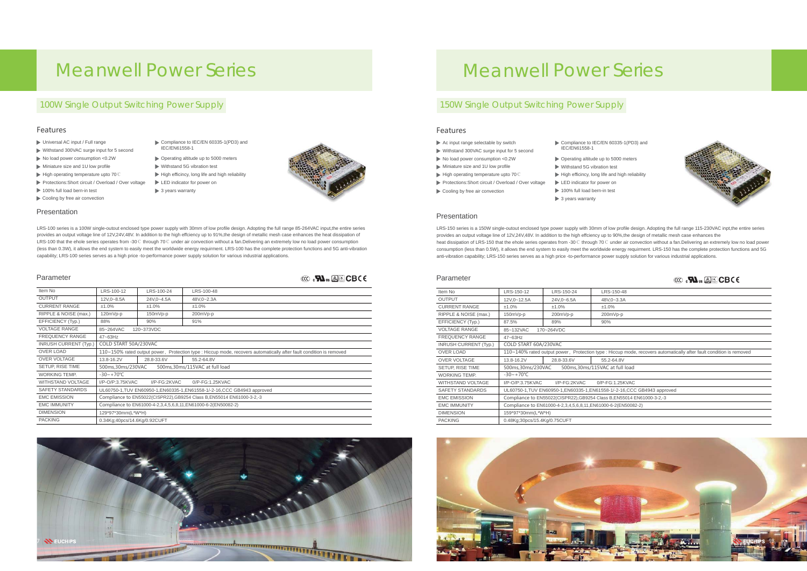# Meanwell Power Series Meanwell Power Series

## 100W Single Output Switching Power Supply 150W Single Output Switching Power Supply

- Universal AC input / Full range
- Withstand 300VAC surge input for 5 second
- ▶ No load power consumption <0.2W
- Miniature size and 1U low profile
- ► High operating temperature upto 70 ℃
- Protections: Short circuit / Overload / Over voltage
- 100% full load bern-in test
- Cooling by free air convection



| LRS-150-12                                                                                                          | LRS-150-24                      | LRS-150-48 |  |  |  |  |
|---------------------------------------------------------------------------------------------------------------------|---------------------------------|------------|--|--|--|--|
| 12V,0~12.5A                                                                                                         | 24V,0~6.5A                      | 48V,0~3.3A |  |  |  |  |
| $±1.0\%$                                                                                                            | $±1.0\%$                        | ±1.0%      |  |  |  |  |
| 150mVp-p                                                                                                            | 200mVp-p                        | 200mVp-p   |  |  |  |  |
| 87.5%                                                                                                               | 89%                             | 90%        |  |  |  |  |
| 85~132VAC                                                                                                           | 170~264VDC                      |            |  |  |  |  |
| 47~63Hz                                                                                                             |                                 |            |  |  |  |  |
| COLD START 60A/230VAC                                                                                               |                                 |            |  |  |  |  |
| 110~140% rated output power, Protection type : Hiccup mode, recovers automatically after fault condition is removed |                                 |            |  |  |  |  |
| 13.8-16.2V                                                                                                          | 28.8-33.6V<br>55.2-64.8V        |            |  |  |  |  |
| 500ms,30ms/230VAC<br>500ms, 30ms/115VAC at full load                                                                |                                 |            |  |  |  |  |
| $-30 - +70^{\circ}C$                                                                                                |                                 |            |  |  |  |  |
| I/P-O/P:3.75KVAC                                                                                                    | I/P-FG:2KVAC<br>0/P-FG:1.25KVAC |            |  |  |  |  |
| UL60750-1,TUV EN60950-1,EN60335-1,EN61558-1/-2-16,CCC GB4943 approved                                               |                                 |            |  |  |  |  |
| Compliance to EN55022(CISPR22), GB9254 Class B, EN55014 EN61000-3-2,-3                                              |                                 |            |  |  |  |  |
| Compliance to EN61000-4-2,3,4,5,6,8,11,EN61000-6-2(EN50082-2)                                                       |                                 |            |  |  |  |  |
| 159*97*30mm(L*W*H)                                                                                                  |                                 |            |  |  |  |  |
| 0.48Kg:30pcs/15.4Kg/0.75CUFT                                                                                        |                                 |            |  |  |  |  |

| Item No                      | LRS-100-12                                                                                                          | LRS-100-24 | LRS-100-48 |  |  |
|------------------------------|---------------------------------------------------------------------------------------------------------------------|------------|------------|--|--|
| <b>OUTPUT</b>                | 12V,0~8.5A                                                                                                          | 24V,0~4.5A | 48V,0~2.3A |  |  |
| <b>CURRENT RANGE</b>         | ±1.0%                                                                                                               | ±1.0%      | ±1.0%      |  |  |
| RIPPLE & NOISE (max.)        | 120mVp-p                                                                                                            | 150mVp-p   | 200mVp-p   |  |  |
| EFFICIENCY (Typ.)            | 88%                                                                                                                 | 90%        | 91%        |  |  |
| <b>VOLTAGE RANGE</b>         | 85~264VAC                                                                                                           | 120~373VDC |            |  |  |
| <b>FREQUENCY RANGE</b>       | $47 - 63$ Hz                                                                                                        |            |            |  |  |
| <b>INRUSH CURRENT (Typ.)</b> | COLD START 50A/230VAC                                                                                               |            |            |  |  |
| <b>OVER LOAD</b>             | 110~150% rated output power, Protection type : Hiccup mode, recovers automatically after fault condition is removed |            |            |  |  |
| <b>OVER VOLTAGE</b>          | 13.8-16.2V                                                                                                          | 28.8-33.6V | 55.2-64.8V |  |  |
| SETUP, RISE TIME             | 500ms,30ms/115VAC at full load<br>500ms, 30ms/230VAC                                                                |            |            |  |  |
| <b>WORKING TEMP.</b>         | $-30 - +70^{\circ}C$                                                                                                |            |            |  |  |
| <b>WITHSTAND VOLTAGE</b>     | 0/P-FG:1.25KVAC<br>I/P-O/P:3.75KVAC<br>I/P-FG:2KVAC                                                                 |            |            |  |  |
| <b>SAFETY STANDARDS</b>      | UL60750-1, TUV EN60950-1, EN60335-1, EN61558-1/-2-16, CCC GB4943 approved                                           |            |            |  |  |
| <b>EMC EMISSION</b>          | Compliance to EN55022(CISPR22), GB9254 Class B, EN55014 EN61000-3-2, -3                                             |            |            |  |  |
| <b>EMC IMMUNITY</b>          | Compliance to EN61000-4-2,3,4,5,6,8,11, EN61000-6-2(EN50082-2)                                                      |            |            |  |  |
| <b>DIMENSION</b>             | 129*97*30mm(L*W*H)                                                                                                  |            |            |  |  |
| <b>PACKING</b>               | 0.34Kg;40pcs/14.6Kg/0.92CUFT                                                                                        |            |            |  |  |
|                              |                                                                                                                     |            |            |  |  |

IEC/EN61558-1

 $\blacktriangleright$  3 years warranty

| Item No                      | LRS-150-12                                                                     | LRS-150-24 | LRS-150-48 |  |
|------------------------------|--------------------------------------------------------------------------------|------------|------------|--|
| <b>OUTPUT</b>                | 12V,0~12.5A                                                                    | 24V,0~6.5A | 48V,0~3.3A |  |
| <b>CURRENT RANGE</b>         | ±1.0%                                                                          | ±1.0%      | ±1.0%      |  |
| RIPPLE & NOISE (max.)        | 150mVp-p                                                                       | 200mVp-p   | 200mVp-p   |  |
| EFFICIENCY (Typ.)            | 87.5%                                                                          | 89%        | 90%        |  |
| <b>VOLTAGE RANGE</b>         | 85~132VAC                                                                      | 170~264VDC |            |  |
| <b>FREQUENCY RANGE</b>       | $47 - 63$ Hz                                                                   |            |            |  |
| <b>INRUSH CURRENT (Typ.)</b> | COLD START 60A/230VAC                                                          |            |            |  |
| <b>OVER LOAD</b>             | 110~140% rated output power, Protection type : Hiccup mode, recovers automatic |            |            |  |
| <b>OVER VOLTAGE</b>          | 13.8-16.2V<br>28.8-33.6V<br>55.2-64.8V                                         |            |            |  |
| SETUP, RISE TIME             | 500ms, 30ms/115VAC at full load<br>500ms,30ms/230VAC                           |            |            |  |
| <b>WORKING TEMP.</b>         | $-30 - +70^{\circ}C$                                                           |            |            |  |
| <b>WITHSTAND VOLTAGE</b>     | 0/P-FG:1.25KVAC<br>I/P-O/P:3.75KVAC<br>I/P-FG:2KVAC                            |            |            |  |
| <b>SAFETY STANDARDS</b>      | UL60750-1, TUV EN60950-1, EN60335-1, EN61558-1/-2-16, CCC GB4943 approved      |            |            |  |
| <b>EMC EMISSION</b>          | Compliance to EN55022(CISPR22), GB9254 Class B, EN55014 EN61000-3-2, -3        |            |            |  |
| <b>EMC IMMUNITY</b>          | Compliance to EN61000-4-2,3,4,5,6,8,11, EN61000-6-2(EN50082-2)                 |            |            |  |
| <b>DIMENSION</b>             | 159*97*30mm(L*W*H)                                                             |            |            |  |
| <b>PACKING</b>               | 0.48Kg;30pcs/15.4Kg/0.75CUFT                                                   |            |            |  |
|                              |                                                                                |            |            |  |



Compliance to IEC/EN 60335-1(PD3) and

- ▶ Operating altitude up to 5000 meters
- Withstand 5G vibration test
- $\blacktriangleright$  High efficincy, long life and high reliability
- LED indicator for power on
	-



LRS-100 series is a 100W single-outout enclosed type power supply with 30mm of low profile design. Adopting the full range 85-264VAC input,the entire series provides an output voltage line of 12V,24V,48V. In addition to the high effciency up to 91%,the design of metallic mesh case enhances the heat dissipation of LRS-100 that the ehole series operates from -30℃ through 70℃ under air convection without a fan.Delivering an extremely low no load power consumption (less than 0.3W), it allows the end system to easily meet the worldwide energy requirment. LRS-100 has the complete protection functions and 5G anti-vibration capability; LRS-100 series serves as a high price -to-performance power supply solution for various industrial applications.

LRS-150 series is a 150W single-outout enclosed type power supply with 30mm of low profile design. Adopting the full range 115-230VAC inpt,the entire series provides an output voltage line of 12V,24V,48V. In addition to the high effciency up to 90%,the design of metallic mesh case enhances the heat dissipation of LRS-150 that the ehole series operates from -30℃ through 70℃ under air convection without a fan.Delivering an extremely low no load power consumption (less than 0.5W), it allows the end system to easily meet the worldwide energy requirment. LRS-150 has the complete protection functions and 5G anti-vibration capability; LRS-150 series serves as a high price -to-performance power supply solution for various industrial applications.

#### Parameter

## Features

## Presentation

- Compliance to IEC/EN 60335-1(PD3) and IEC/EN61558-1
- ▶ Operating altitude up to 5000 meters
- Withstand 5G vibration test
- $\blacktriangleright$  High efficincy, long life and high reliability
- LED indicator for power on
- $\blacktriangleright$  3 years warranty



s <sup>tu</sup>

### Parameter

#### Features

- Ac input range selectable by switch
- Withstand 300VAC surge input for 5 second
- No load power consumption <0.2W
- Miniature size and 1U low profile
- ► High operating temperature upto 70 ℃
- Protections: Short circuit / Overload / Over voltage
- Cooling by free air convection
- 100% full load bern-in test

## Presentation